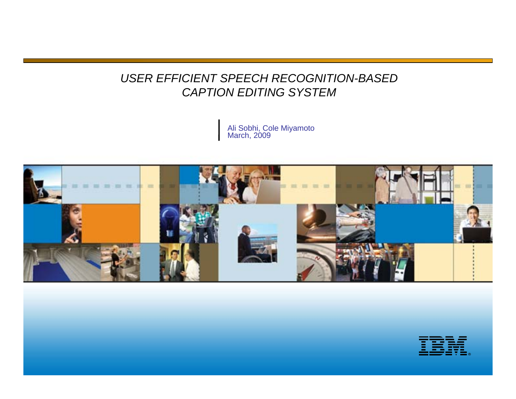#### *USER EFFICIENT SPEECH RECOGNITION-BASED CAPTION EDITING SYSTEM*

Ali Sobhi, Cole Miyamoto March, 2009



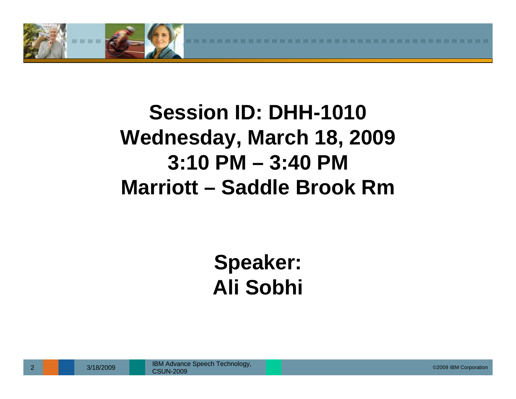

# **Session ID: DHH-1010 Wednesday, March 18, 2009 3:10 PM – 3:40 PMMarriott – Saddle Brook Rm**

# **Speaker: Ali Sobhi**

3/18/2009 ©2009 IBM Corporation IBM Advance Speech Technology, CSUN-2009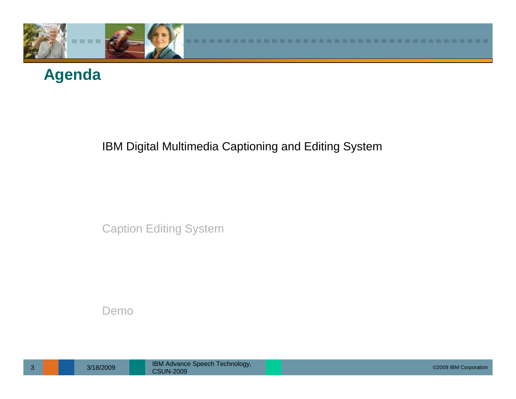

#### **Agenda**

#### IBM Digital Multimedia Captioning and Editing System

Caption Editing System

Demo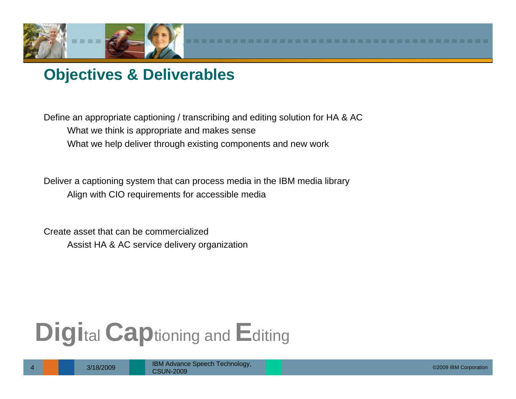

#### **Objectives & Deliverables**

Define an appropriate captioning / transcribing and editing solution for HA & AC What we think is appropriate and makes sense What we help deliver through existing components and new work

Deliver a captioning system that can process media in the IBM media library Align with CIO requirements for accessible media

Create asset that can be commercializedAssist HA & AC service delivery organization

# **Digi**tal **Cap**tioning and **E**diting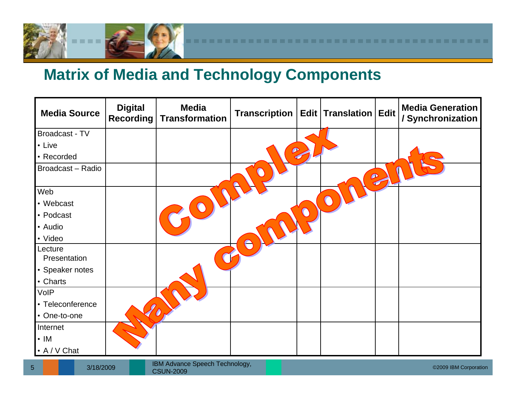

#### **Matrix of Media and Technology Components**

| <b>Media Source</b> | <b>Digital</b><br><b>Recording</b> | <b>Media</b><br><b>Transformation</b> | Transcription   Edit   Translation   Edit |           |   | <b>Media Generation</b><br>/ Synchronization |
|---------------------|------------------------------------|---------------------------------------|-------------------------------------------|-----------|---|----------------------------------------------|
| Broadcast - TV      |                                    |                                       |                                           |           |   |                                              |
| • Live              |                                    |                                       |                                           |           |   |                                              |
| • Recorded          |                                    |                                       |                                           |           |   |                                              |
| Broadcast - Radio   |                                    |                                       |                                           | $\bullet$ | G |                                              |
| Web                 |                                    |                                       |                                           |           |   |                                              |
| • Webcast           |                                    |                                       |                                           |           |   |                                              |
| • Podcast           |                                    |                                       |                                           |           |   |                                              |
| • Audio             |                                    |                                       |                                           |           |   |                                              |
| • Video             |                                    |                                       |                                           |           |   |                                              |
| Lecture             |                                    |                                       |                                           |           |   |                                              |
| Presentation        |                                    |                                       |                                           |           |   |                                              |
| • Speaker notes     |                                    |                                       |                                           |           |   |                                              |
| • Charts            |                                    |                                       |                                           |           |   |                                              |
| VoIP                |                                    |                                       |                                           |           |   |                                              |
| • Teleconference    |                                    |                                       |                                           |           |   |                                              |
| • One-to-one        |                                    |                                       |                                           |           |   |                                              |
| Internet            |                                    |                                       |                                           |           |   |                                              |
| $\cdot$ IM          |                                    |                                       |                                           |           |   |                                              |
| • A / V Chat        |                                    |                                       |                                           |           |   |                                              |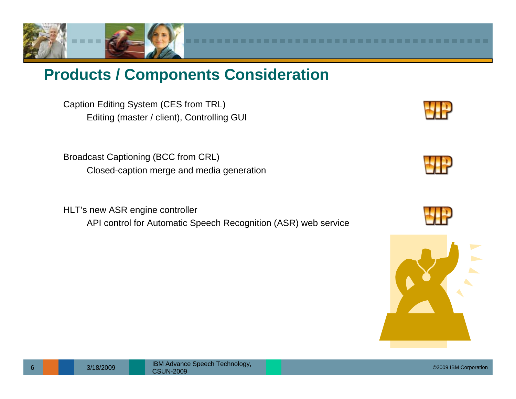

#### **Products / Components Consideration**

Caption Editing System (CES from TRL) Editing (master / client), Controlling GUI

Broadcast Captioning (BCC from CRL) Closed-caption merge and media generation

HLT's new ASR engine controller API control for Automatic Speech Recognition (ASR) web service







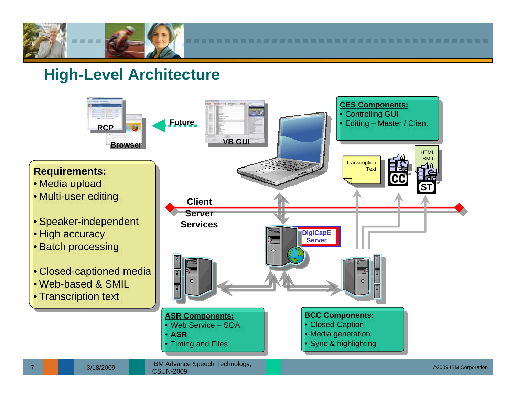

#### **High-Level Architecture**

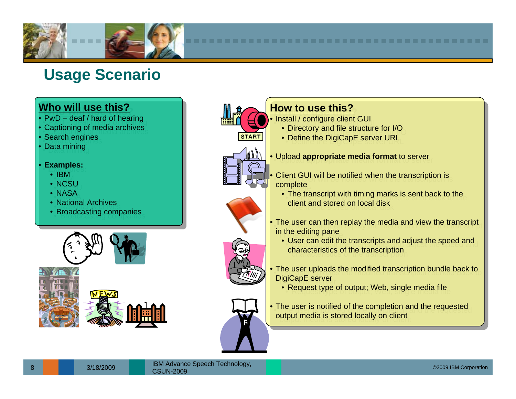

## **Usage Scenario**

#### **Who will use this?Who will use this?**

- PwD deaf / hard of hearing PwD deaf / hard of hearing
- Captioning of media archives
- •• Search engines Search engines
- Data mining Data mining
- **Examples: Examples:**
	- IBM $_{\rm \odot}$
	- NCSU
	- NASA
	- NASA<br>• National Archives
	- National Archives Broadcasting companies Broadcasting companies







#### **<u>How to use this?</u>**

- Install / configure client GUI
	- Install / comigue client GUI •• Directory and file structure for I/O Directory and file structure for I/O
		- Define the DigiCapE server URL Define the DigiCapE server URL

#### • Upload **appropriate media format** to server • Upload **appropriate media format** to server

- Client GUI will be notified when the transcription is complete complete
	- The transcript with timing marks is sent back to the The transcript with timing marks is sent back to the client and stored on local disk $\Box$
- The user can then replay the media and view the transcript  $\vert$ in the editing pane in the editing pane
	- User can edit the transcripts and adjust the speed and characteristics of the transcription characteristics of the transcription
- The user uploads the modified transcription bundle back to **Nights** DigiCapE server DigiCapE server
	- Request type of output; Web, single media file Request type of output; Web, single media file
- The user is notified of the completion and the requested output media is stored locally on client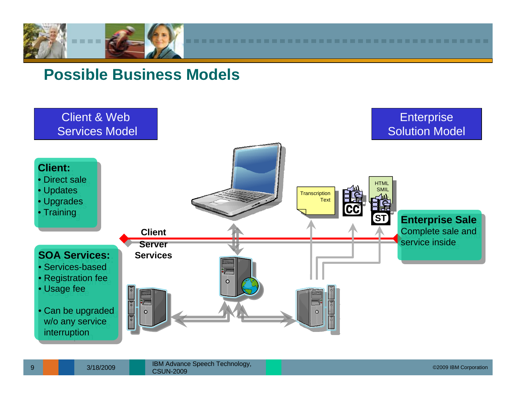

#### **Possible Business Models**

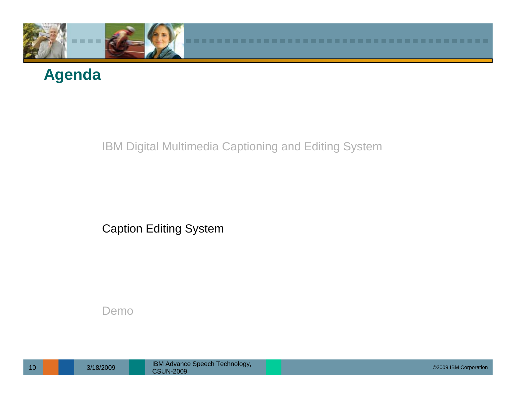

## **Agenda**

#### IBM Digital Multimedia Captioning and Editing System

Caption Editing System

#### Demo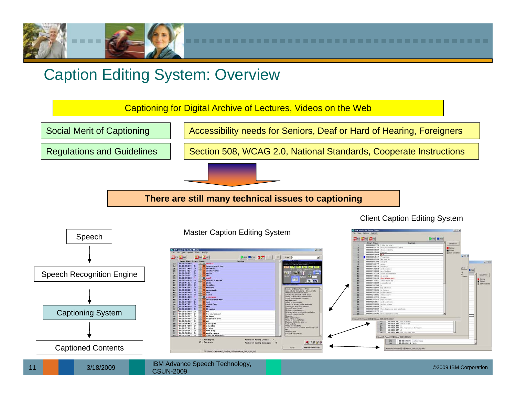

#### Caption Editing System: Overview

Captioning for Digital Archive of Lectures, Videos on the Web

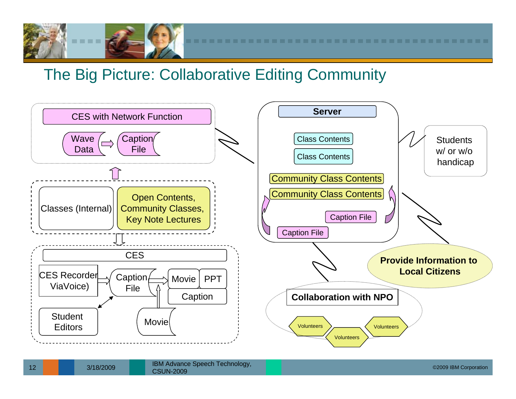

#### The Big Picture: Collaborative Editing Community

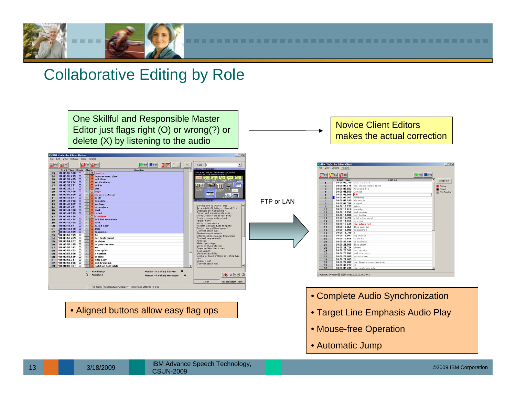

#### Collaborative Editing by Role

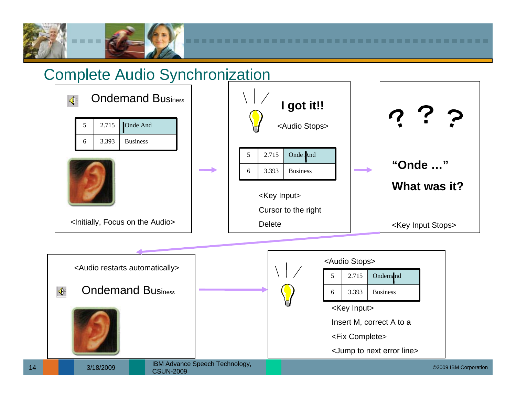

#### Complete Audio Synchronization

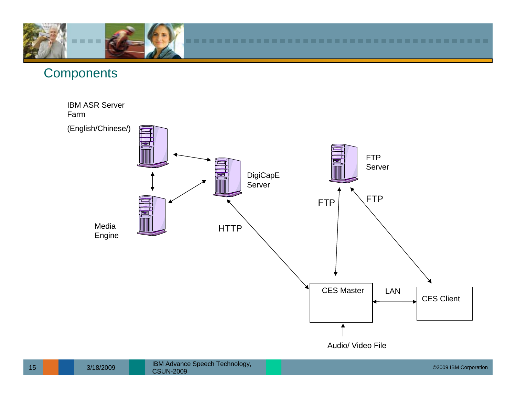

#### **Components**

IBM ASR Server Farm

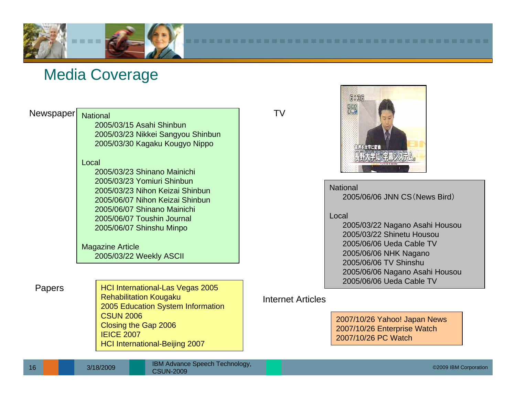

#### Media Coverage

#### Newspaper National 2005/03/15 Asahi Shinbun2005/03/23 Nikkei Sangyou Shinbun 2005/03/30 Kagaku Kougyo Nippo Local2005/03/23 Shinano Mainichi2005/03/23 Yomiuri Shinbun2005/03/23 Nihon Keizai Shinbun2005/06/07 Nihon Keizai Shinbun2005/06/07 Shinano Mainichi2005/06/07 Toushin Journal2005/06/07 Shinshu Minpo Magazine Article 2005/03/22 Weekly ASCII

Papers | HCI International-Las Vegas 2005 Rehabilitation Kougaku 2005 Education System Information CSUN 2006Closing the Gap 2006 IEICE 2007 HCI International-Beijing 2007

TV



National

2005/06/06 JNN CS(News Bird)

Local

2005/03/22 Nagano Asahi Housou 2005/03/22 Shinetu Housou2005/06/06 Ueda Cable TV2005/06/06 NHK Nagano 2005/06/06 TV Shinshu2005/06/06 Nagano Asahi Housou 2005/06/06 Ueda Cable TV

#### Internet Articles

2007/10/26 Yahoo! Japan News 2007/10/26 Enterprise Watch 2007/10/26 PC Watch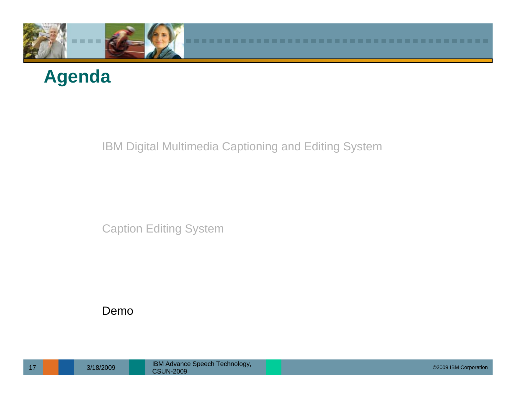

## **Agenda**

IBM Digital Multimedia Captioning and Editing System

Caption Editing System

#### Demo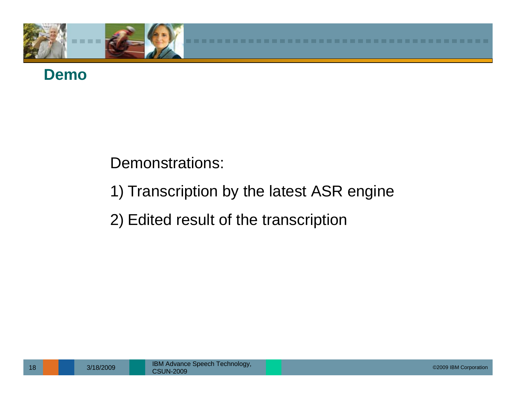

### **Demo**

#### Demonstrations:

1) Transcription by the latest ASR engine

#### 2) Edited result of the transcription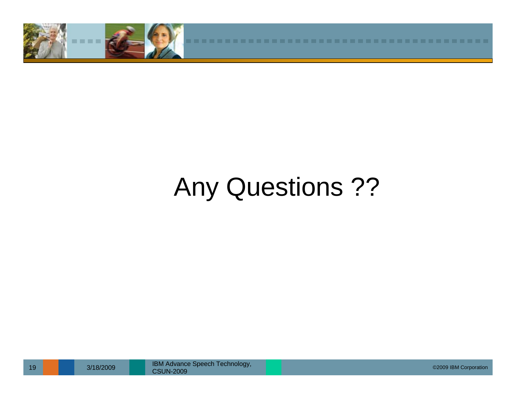

# Any Questions ??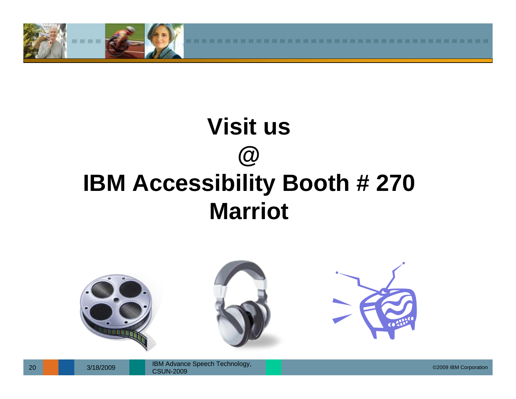

# **Visit us @ IBM Accessibility Booth # 270 Marriot**

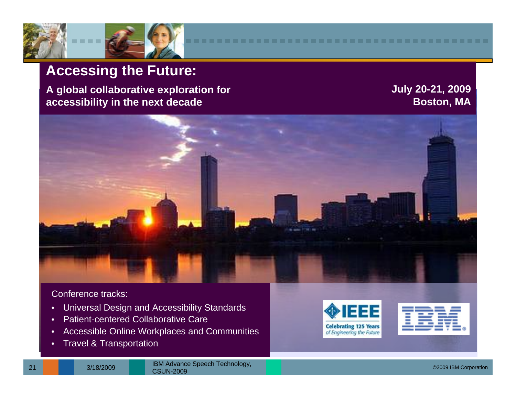

#### **Accessing the Future:**

**A global collaborative exploration for accessibility in the next decade**

**July 20-21, 2009 Boston, MA**



Conference tracks:

- •Universal Design and Accessibility Standards
- •Patient-centered Collaborative Care
- •Accessible Online Workplaces and Communities
- •Travel & Transportation



| ۰ | - |
|---|---|
|   |   |